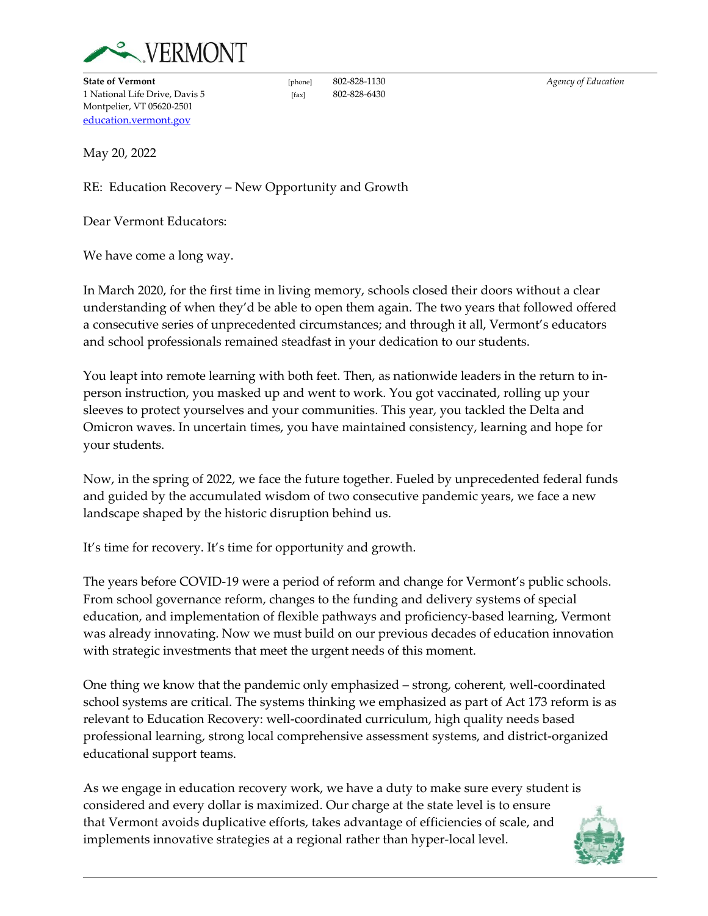

**State of Vermont Example 302-828-1130** *Agency of Education**Agency of Education* 1 National Life Drive, Davis 5 [fax] 802-828-6430 Montpelier, VT 05620-2501 [education.vermont.gov](http://education.vermont.gov/)

May 20, 2022

RE: Education Recovery – New Opportunity and Growth

Dear Vermont Educators:

We have come a long way.

In March 2020, for the first time in living memory, schools closed their doors without a clear understanding of when they'd be able to open them again. The two years that followed offered a consecutive series of unprecedented circumstances; and through it all, Vermont's educators and school professionals remained steadfast in your dedication to our students.

You leapt into remote learning with both feet. Then, as nationwide leaders in the return to inperson instruction, you masked up and went to work. You got vaccinated, rolling up your sleeves to protect yourselves and your communities. This year, you tackled the Delta and Omicron waves. In uncertain times, you have maintained consistency, learning and hope for your students.

Now, in the spring of 2022, we face the future together. Fueled by unprecedented federal funds and guided by the accumulated wisdom of two consecutive pandemic years, we face a new landscape shaped by the historic disruption behind us.

It's time for recovery. It's time for opportunity and growth.

The years before COVID-19 were a period of reform and change for Vermont's public schools. From school governance reform, changes to the funding and delivery systems of special education, and implementation of flexible pathways and proficiency-based learning, Vermont was already innovating. Now we must build on our previous decades of education innovation with strategic investments that meet the urgent needs of this moment.

One thing we know that the pandemic only emphasized – strong, coherent, well-coordinated school systems are critical. The systems thinking we emphasized as part of Act 173 reform is as relevant to Education Recovery: well-coordinated curriculum, high quality needs based professional learning, strong local comprehensive assessment systems, and district-organized educational support teams.

As we engage in education recovery work, we have a duty to make sure every student is considered and every dollar is maximized. Our charge at the state level is to ensure that Vermont avoids duplicative efforts, takes advantage of efficiencies of scale, and implements innovative strategies at a regional rather than hyper-local level.